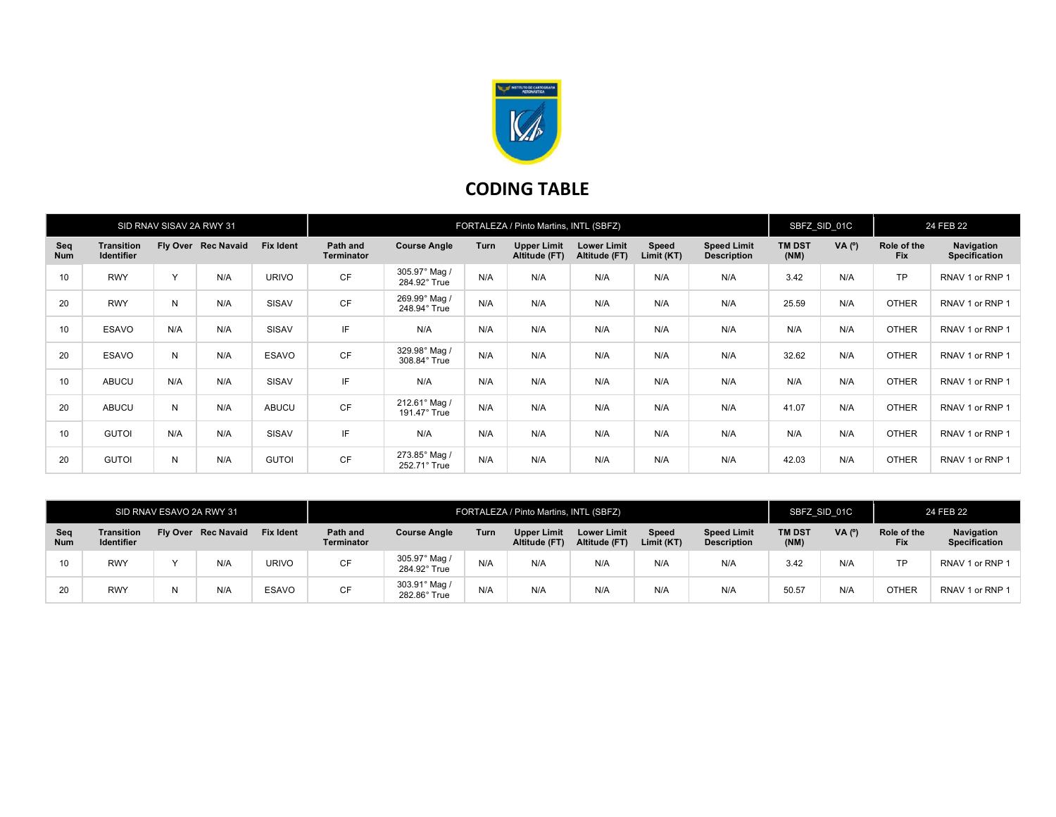

## CODING TABLE

| SID RNAV SISAV 2A RWY 31 |                                        |              |                     |                  | FORTALEZA / Pinto Martins, INTL (SBFZ) |                               |      |                                     |                                     |                     |                                          | SBFZ SID 01C          |          | 24 FEB 22                 |                                    |
|--------------------------|----------------------------------------|--------------|---------------------|------------------|----------------------------------------|-------------------------------|------|-------------------------------------|-------------------------------------|---------------------|------------------------------------------|-----------------------|----------|---------------------------|------------------------------------|
| Sea<br><b>Num</b>        | <b>Transition</b><br><b>Identifier</b> |              | Fly Over Rec Navaid | <b>Fix Ident</b> | Path and<br><b>Terminator</b>          | <b>Course Angle</b>           | Turn | <b>Upper Limit</b><br>Altitude (FT) | <b>Lower Limit</b><br>Altitude (FT) | Speed<br>Limit (KT) | <b>Speed Limit</b><br><b>Description</b> | <b>TM DST</b><br>(NM) | VA $(°)$ | Role of the<br><b>Fix</b> | Navigation<br><b>Specification</b> |
| 10                       | <b>RWY</b>                             | $\checkmark$ | N/A                 | <b>URIVO</b>     | <b>CF</b>                              | 305.97° Mag /<br>284.92° True | N/A  | N/A                                 | N/A                                 | N/A                 | N/A                                      | 3.42                  | N/A      | <b>TP</b>                 | RNAV 1 or RNP 1                    |
| 20                       | <b>RWY</b>                             | N            | N/A                 | SISAV            | CF                                     | 269.99° Mag /<br>248.94° True | N/A  | N/A                                 | N/A                                 | N/A                 | N/A                                      | 25.59                 | N/A      | <b>OTHER</b>              | RNAV 1 or RNP 1                    |
| 10                       | ESAVO                                  | N/A          | N/A                 | SISAV            | IF                                     | N/A                           | N/A  | N/A                                 | N/A                                 | N/A                 | N/A                                      | N/A                   | N/A      | <b>OTHER</b>              | RNAV 1 or RNP 1                    |
| 20                       | ESAVO                                  | N            | N/A                 | <b>ESAVO</b>     | <b>CF</b>                              | 329.98° Mag /<br>308.84° True | N/A  | N/A                                 | N/A                                 | N/A                 | N/A                                      | 32.62                 | N/A      | <b>OTHER</b>              | RNAV 1 or RNP 1                    |
| 10                       | ABUCU                                  | N/A          | N/A                 | SISAV            | IF                                     | N/A                           | N/A  | N/A                                 | N/A                                 | N/A                 | N/A                                      | N/A                   | N/A      | <b>OTHER</b>              | RNAV 1 or RNP 1                    |
| 20                       | ABUCU                                  | N            | N/A                 | <b>ABUCU</b>     | <b>CF</b>                              | 212.61° Mag /<br>191.47° True | N/A  | N/A                                 | N/A                                 | N/A                 | N/A                                      | 41.07                 | N/A      | <b>OTHER</b>              | RNAV 1 or RNP 1                    |
| 10                       | <b>GUTOI</b>                           | N/A          | N/A                 | SISAV            | IF                                     | N/A                           | N/A  | N/A                                 | N/A                                 | N/A                 | N/A                                      | N/A                   | N/A      | <b>OTHER</b>              | RNAV 1 or RNP 1                    |
| 20                       | <b>GUTOI</b>                           | N            | N/A                 | <b>GUTOI</b>     | <b>CF</b>                              | 273.85° Mag /<br>252.71° True | N/A  | N/A                                 | N/A                                 | N/A                 | N/A                                      | 42.03                 | N/A      | <b>OTHER</b>              | RNAV 1 or RNP 1                    |

| SID RNAV ESAVO 2A RWY 31 |                                        |  |                     |                  | FORTALEZA / Pinto Martins, INTL (SBFZ) |                               |      |                              |                                     |                     |                                          | SBFZ SID 01C          |          | 24 FEB 22                 |                                    |
|--------------------------|----------------------------------------|--|---------------------|------------------|----------------------------------------|-------------------------------|------|------------------------------|-------------------------------------|---------------------|------------------------------------------|-----------------------|----------|---------------------------|------------------------------------|
| Seq<br><b>Num</b>        | <b>Transition</b><br><b>Identifier</b> |  | Fly Over Rec Navaid | <b>Fix Ident</b> | Path and<br><b>Terminator</b>          | <b>Course Angle</b>           | Turn | Upper Limit<br>Altitude (FT) | <b>Lower Limit</b><br>Altitude (FT) | Speed<br>Limit (KT) | <b>Speed Limit</b><br><b>Description</b> | <b>TM DST</b><br>(NM) | $VA(^o)$ | Role of the<br><b>Fix</b> | Navigation<br><b>Specification</b> |
| 10 <sup>10</sup>         | <b>RWY</b>                             |  | N/A                 | <b>URIVO</b>     | CF                                     | 305.97° Mag<br>284.92° True   | N/A  | N/A                          | N/A                                 | N/A                 | N/A                                      | 3.42                  | N/A      | <b>TP</b>                 | RNAV 1 or RNP 1                    |
| 20                       | <b>RWY</b>                             |  | N/A                 | ESAVO            | <b>CF</b>                              | 303.91° Mag /<br>282.86° True | N/A  | N/A                          | N/A                                 | N/A                 | N/A                                      | 50.57                 | N/A      | <b>OTHER</b>              | RNAV 1 or RNP 1                    |